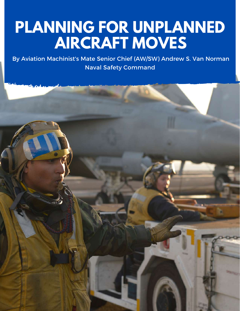# **PLANNING FOR UNPLANNED AIRCRAFT MOVES**

By Aviation Machinist's Mate Senior Chief (AW/SW) Andrew S. Van Norman Naval Safety Command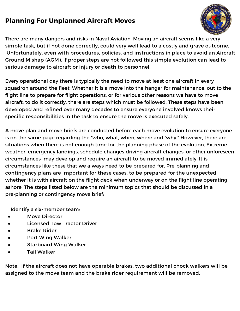#### **Planning For Unplanned Aircraft Moves**



There are many dangers and risks in Naval Aviation. Moving an aircraft seems like a very simple task, but if not done correctly, could very well lead to a costly and grave outcome. Unfortunately, even with procedures, policies, and instructions in place to avoid an Aircraft Ground Mishap (AGM), if proper steps are not followed this simple evolution can lead to serious damage to aircraft or injury or death to personnel.

Every operational day there is typically the need to move at least one aircraft in every squadron around the fleet. Whether it is a move into the hangar for maintenance, out to the flight line to prepare for flight operations, or for various other reasons we have to move aircraft; to do it correctly, there are steps which must be followed. These steps have been developed and refined over many decades to ensure everyone involved knows their specific responsibilities in the task to ensure the move is executed safely.

A move plan and move briefs are conducted before each move evolution to ensure everyone is on the same page regarding the "who, what, when, where and "why." However, there are situations when there is not enough time for the planning phase of the evolution. Extreme weather, emergency landings, schedule changes driving aircraft changes, or other unforeseen circumstances may develop and require an aircraft to be moved immediately. It is circumstances like these that we always need to be prepared for. Pre-planning and contingency plans are important for these cases, to be prepared for the unexpected, whether it is with aircraft on the flight deck when underway or on the flight line operating ashore. The steps listed below are the minimum topics that should be discussed in a pre-planning or contingency move brief:

Identify a six-member team:

- Move Director
- Licensed Tow Tractor Driver
- Brake Rider
- Port Wing Walker
- Starboard Wing Walker
- Tail Walker

Note: If the aircraft does not have operable brakes, two additional chock walkers will be assigned to the move team and the brake rider requirement will be removed.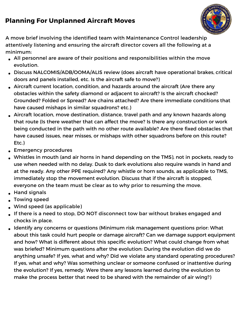## **Planning For Unplanned Aircraft Moves**



A move brief involving the identified team with Maintenance Control leadership attentively listening and ensuring the aircraft director covers all the following at a minimum:

- All personnel are aware of their positions and responsibilities within the move evolution.
- Discuss NALCOMIS/ADB/OOMA/ALIS review (does aircraft have operational brakes, critical doors and panels installed, etc. Is the aircraft safe to move?)
- Aircraft current location, condition, and hazards around the aircraft (Are there any obstacles within the safety diamond or adjacent to aircraft? Is the aircraft chocked? Grounded? Folded or Spread? Are chains attached? Are there immediate conditions that have caused mishaps in similar squadrons? etc.)
- Aircraft location, move destination, distance, travel path and any known hazards along that route (Is there weather that can affect the move? Is there any construction or work being conducted in the path with no other route available? Are there fixed obstacles that have caused issues, near misses, or mishaps with other squadrons before on this route? Etc.)
- **Emergency procedures**
- Whistles in mouth (and air horns in hand depending on the TMS), not in pockets, ready to use when needed with no delay. Dusk to dark evolutions also require wands in hand and at the ready. Any other PPE required? Any whistle or horn sounds, as applicable to TMS, immediately stop the movement evolution. Discuss that if the aircraft is stopped, everyone on the team must be clear as to why prior to resuming the move.
- **Hand signals**
- Towing speed
- Wind speed (as applicable)
- If there is a need to stop, DO NOT disconnect tow bar without brakes engaged and chocks in place.
- Identify any concerns or questions (Minimum risk management questions prior: What about this task could hurt people or damage aircraft? Can we damage support equipment and how? What is different about this specific evolution? What could change from what was briefed? Minimum questions after the evolution: During the evolution did we do anything unsafe? If yes, what and why? Did we violate any standard operating procedures? If yes, what and why? Was something unclear or someone confused or inattentive during the evolution? If yes, remedy. Were there any lessons learned during the evolution to make the process better that need to be shared with the remainder of air wing?)